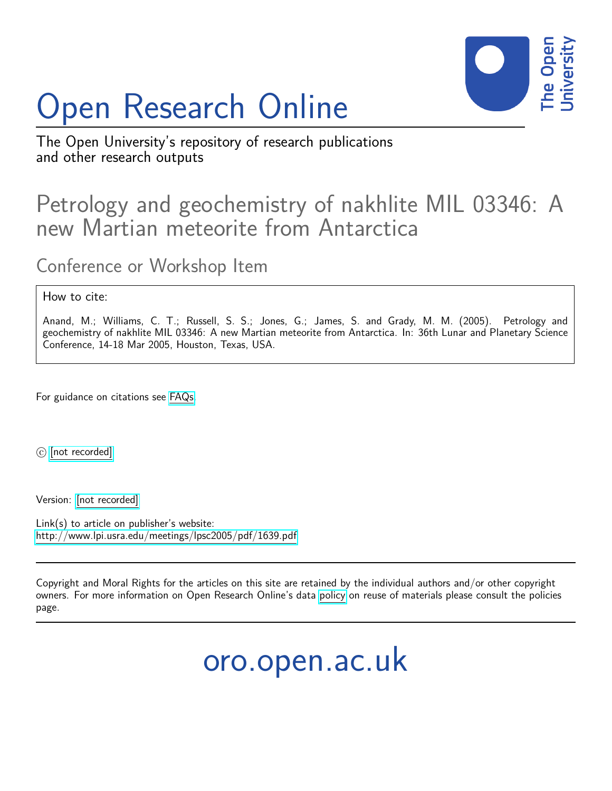# Open Research Online



The Open University's repository of research publications and other research outputs

# Petrology and geochemistry of nakhlite MIL 03346: A new Martian meteorite from Antarctica

Conference or Workshop Item

## How to cite:

Anand, M.; Williams, C. T.; Russell, S. S.; Jones, G.; James, S. and Grady, M. M. (2005). Petrology and geochemistry of nakhlite MIL 03346: A new Martian meteorite from Antarctica. In: 36th Lunar and Planetary Science Conference, 14-18 Mar 2005, Houston, Texas, USA.

For guidance on citations see [FAQs.](http://oro.open.ac.uk/help/helpfaq.html)

 $\circled{c}$  [\[not recorded\]](http://oro.open.ac.uk/help/helpfaq.html#Unrecorded_information_on_coversheet)

Version: [\[not recorded\]](http://oro.open.ac.uk/help/helpfaq.html#Unrecorded_information_on_coversheet)

Link(s) to article on publisher's website: <http://www.lpi.usra.edu/meetings/lpsc2005/pdf/1639.pdf>

Copyright and Moral Rights for the articles on this site are retained by the individual authors and/or other copyright owners. For more information on Open Research Online's data [policy](http://oro.open.ac.uk/policies.html) on reuse of materials please consult the policies page.

oro.open.ac.uk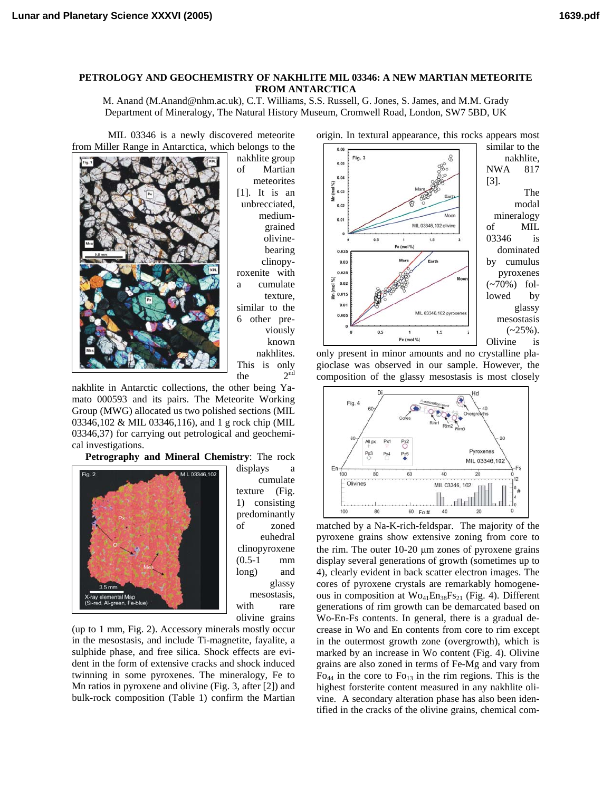### **PETROLOGY AND GEOCHEMISTRY OF NAKHLITE MIL 03346: A NEW MARTIAN METEORITE FROM ANTARCTICA**

M. Anand (M.Anand@nhm.ac.uk), C.T. Williams, S.S. Russell, G. Jones, S. James, and M.M. Grady Department of Mineralogy, The Natural History Museum, Cromwell Road, London, SW7 5BD, UK

MIL 03346 is a newly discovered meteorite from Miller Range in Antarctica, which belongs to the



nakhlite group of Martian meteorites [1]. It is an unbrecciated, mediumgrained olivinebearing clinopyroxenite with a cumulate texture, similar to the 6 other previously known nakhlites. This is only the  $2^{nd}$ 

nakhlite in Antarctic collections, the other being Yamato 000593 and its pairs. The Meteorite Working Group (MWG) allocated us two polished sections (MIL 03346,102 & MIL 03346,116), and 1 g rock chip (MIL 03346,37) for carrying out petrological and geochemical investigations.

**Petrography and Mineral Chemistry**: The rock



displays a cumulate texture (Fig. 1) consisting predominantly of zoned euhedral clinopyroxene (0.5-1 mm long) and glassy mesostasis, with rare olivine grains

(up to 1 mm, Fig. 2). Accessory minerals mostly occur in the mesostasis, and include Ti-magnetite, fayalite, a sulphide phase, and free silica. Shock effects are evident in the form of extensive cracks and shock induced twinning in some pyroxenes. The mineralogy, Fe to Mn ratios in pyroxene and olivine (Fig. 3, after [2]) and bulk-rock composition (Table 1) confirm the Martian



only present in minor amounts and no crystalline plagioclase was observed in our sample. However, the composition of the glassy mesostasis is most closely



matched by a Na-K-rich-feldspar. The majority of the pyroxene grains show extensive zoning from core to the rim. The outer 10-20 µm zones of pyroxene grains display several generations of growth (sometimes up to 4), clearly evident in back scatter electron images. The cores of pyroxene crystals are remarkably homogeneous in composition at  $Wo_{41}En_{38}Fs_{21}$  (Fig. 4). Different generations of rim growth can be demarcated based on Wo-En-Fs contents. In general, there is a gradual decrease in Wo and En contents from core to rim except in the outermost growth zone (overgrowth), which is marked by an increase in Wo content (Fig. 4). Olivine grains are also zoned in terms of Fe-Mg and vary from  $Fo<sub>44</sub>$  in the core to  $Fo<sub>13</sub>$  in the rim regions. This is the highest forsterite content measured in any nakhlite olivine. A secondary alteration phase has also been identified in the cracks of the olivine grains, chemical com